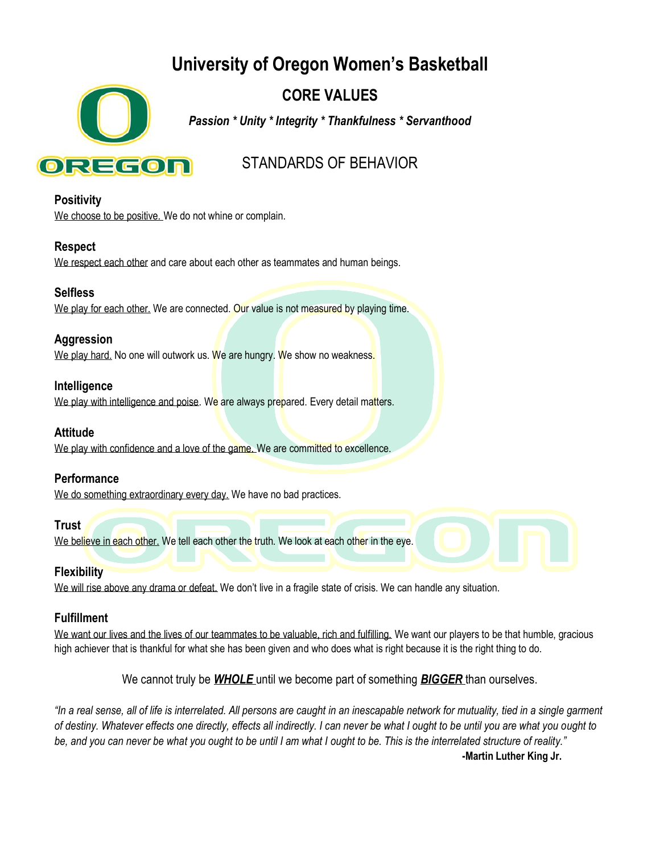# **University of Oregon Women's Basketball**



## **CORE VALUES**

*Passion \* Unity \* Integrity \* Thankfulness \* Servanthood*

## STANDARDS OF BEHAVIOR

**Positivity** 

We choose to be positive. We do not whine or complain.

#### **Respect**

We respect each other and care about each other as teammates and human beings.

#### **Selfless**

We play for each other. We are connected. Our value is not measured by playing time.

#### **Aggression**

We play hard. No one will outwork us. We are hungry. We show no weakness.

#### **Intelligence**

We play with intelligence and poise. We are always prepared. Every detail matters.

## **Attitude**

We play with confidence and a love of the game. We are committed to excellence.

## **Performance**

We do something extraordinary every day. We have no bad practices.

#### **Trust**

We believe in each other. We tell each other the truth. We look at each other in the eye.

## **Flexibility**

We will rise above any drama or defeat. We don't live in a fragile state of crisis. We can handle any situation.

## **Fulfillment**

We want our lives and the lives of our teammates to be valuable, rich and fulfilling. We want our players to be that humble, gracious high achiever that is thankful for what she has been given and who does what is right because it is the right thing to do.

## We cannot truly be *WHOLE* until we become part of something *BIGGER* than ourselves.

*"In a real sense, all of life is interrelated. All persons are caught in an inescapable network for mutuality, tied in a single garment of destiny. Whatever effects one directly, effects all indirectly. I can never be what I ought to be until you are what you ought to be, and you can never be what you ought to be until I am what I ought to be. This is the interrelated structure of reality."* **-Martin Luther King Jr.**